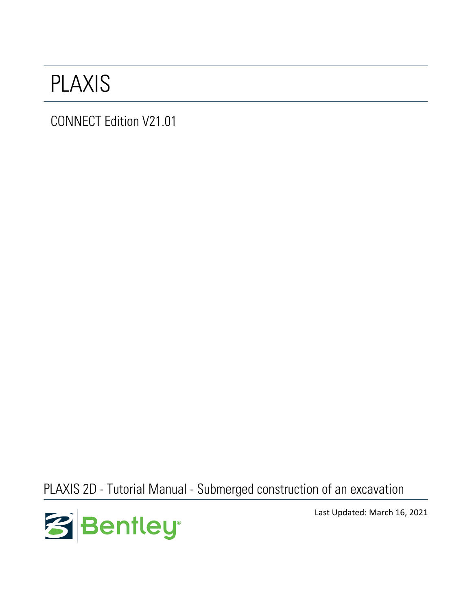# PLAXIS

CONNECT Edition V21.01

PLAXIS 2D - Tutorial Manual - Submerged construction of an excavation



Last Updated: March 16, 2021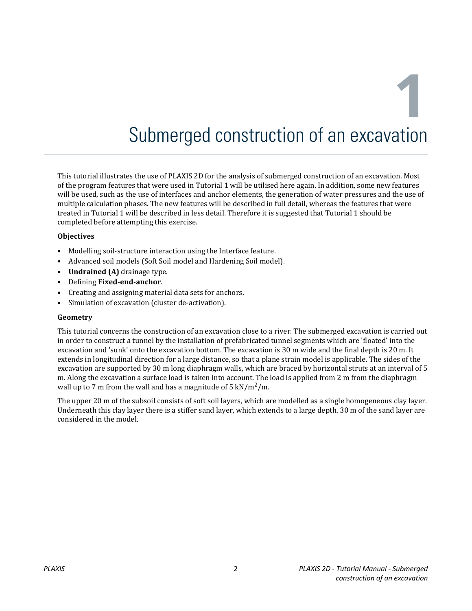**1**

# Submerged construction of an excavation

This tutorial illustrates the use of PLAXIS 2D for the analysis of submerged construction of an excavation. Most of the program features that were used in Tutorial 1 will be utilised here again. In addition, some new features will be used, such as the use of interfaces and anchor elements, the generation of water pressures and the use of multiple calculation phases. The new features will be described in full detail, whereas the features that were treated in Tutorial 1 will be described in less detail. Therefore it is suggested that Tutorial 1 should be completed before attempting this exercise.

#### **Objectives**

- Modelling soil-structure interaction using the Interface feature.
- Advanced soil models (Soft Soil model and Hardening Soil model).
- **Undrained (A)** drainage type.
- Defining **Fixed-end-anchor**.
- Creating and assigning material data sets for anchors.
- Simulation of excavation (cluster de-activation).

#### **Geometry**

This tutorial concerns the construction of an excavation close to a river. The submerged excavation is carried out in order to construct a tunnel by the installation of prefabricated tunnel segments which are 'floated' into the excavation and 'sunk' onto the excavation bottom. The excavation is 30 m wide and the final depth is 20 m. It extends in longitudinal direction for a large distance, so that a plane strain model is applicable. The sides of the excavation are supported by 30 m long diaphragm walls, which are braced by horizontal struts at an interval of 5 m. Along the excavation a surface load is taken into account. The load is applied from 2 m from the diaphragm wall up to 7 m from the wall and has a magnitude of 5  $kN/m^2/m$ .

The upper 20 m of the subsoil consists of soft soil layers, which are modelled as a single homogeneous clay layer. Underneath this clay layer there is a stiffer sand layer, which extends to a large depth. 30 m of the sand layer are considered in the model.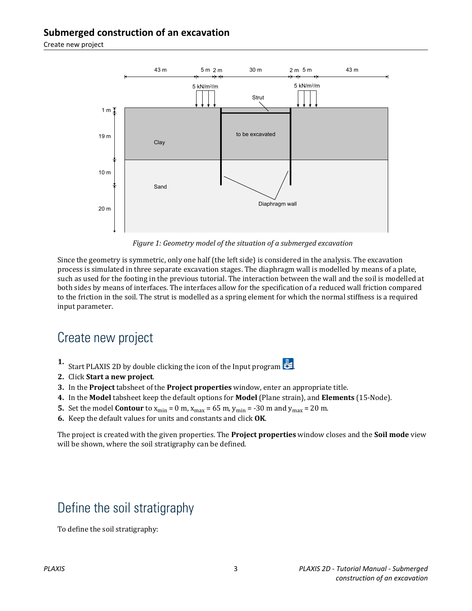Create new project



*Figure 1: Geometry model of the situation of a submerged excavation*

Since the geometry is symmetric, only one half (the left side) is considered in the analysis. The excavation process is simulated in three separate excavation stages. The diaphragm wall is modelled by means of a plate, such as used for the footing in the previous tutorial. The interaction between the wall and the soil is modelled at both sides by means of interfaces. The interfaces allow for the specification of a reduced wall friction compared to the friction in the soil. The strut is modelled as a spring element for which the normal stiffness is a required input parameter.

# Create new project

- **1.** Start PLAXIS 2D by double clicking the icon of the Input program  $\mathbb{Z}$ .
- **2.** Click **Start a new project**.
- **3.** In the **Project** tabsheet of the **Project properties** window, enter an appropriate title.
- **4.** In the **Model** tabsheet keep the default options for **Model** (Plane strain}, and **Elements** (15-Node).
- **5.** Set the model **Contour** to  $x_{min} = 0$  m,  $x_{max} = 65$  m,  $y_{min} = -30$  m and  $y_{max} = 20$  m.
- **6.** Keep the default values for units and constants and click **OK**.

The project is created with the given properties. The **Project properties** window closes and the **Soil mode** view will be shown, where the soil stratigraphy can be defined.

# Define the soil stratigraphy

To define the soil stratigraphy: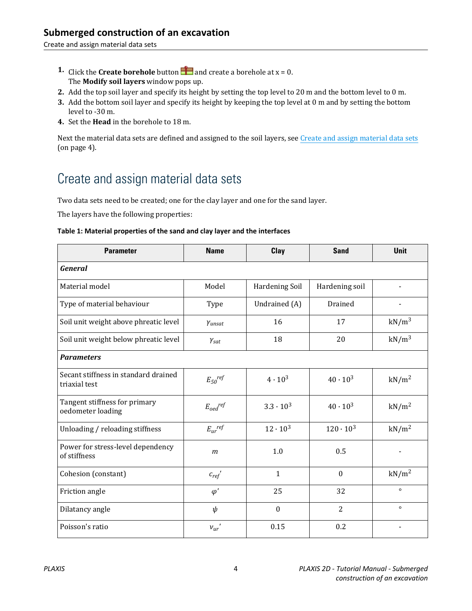<span id="page-3-0"></span>Create and assign material data sets

- **1.** Click the **Create borehole** button **a** and create a borehole at  $x = 0$ . The **Modify soil layers** window pops up.
- **2.** Add the top soil layer and specify its height by setting the top level to 20 m and the bottom level to 0 m.
- **3.** Add the bottom soil layer and specify its height by keeping the top level at 0 m and by setting the bottom level to -30 m.
- **4.** Set the **Head** in the borehole to 18 m.

Next the material data sets are defined and assigned to the soil layers, see Create and assign material data sets (on page 4).

# Create and assign material data sets

Two data sets need to be created; one for the clay layer and one for the sand layer.

The layers have the following properties:

#### **Table 1: Material properties of the sand and clay layer and the interfaces**

| <b>Parameter</b>                                      | <b>Name</b>                       | Clay               | <b>Sand</b>       | <b>Unit</b>       |  |  |
|-------------------------------------------------------|-----------------------------------|--------------------|-------------------|-------------------|--|--|
| <b>General</b>                                        |                                   |                    |                   |                   |  |  |
| Material model                                        | Model                             | Hardening Soil     | Hardening soil    |                   |  |  |
| Type of material behaviour                            | Type                              | Undrained (A)      | Drained           |                   |  |  |
| Soil unit weight above phreatic level                 | Yunsat                            | 16                 | 17                | $kN/m^3$          |  |  |
| Soil unit weight below phreatic level                 | $\gamma_{\text{sat}}$             | 18                 | 20                | $kN/m^3$          |  |  |
| <b>Parameters</b>                                     |                                   |                    |                   |                   |  |  |
| Secant stiffness in standard drained<br>triaxial test | $E_{50}$ ref                      | $4 \cdot 10^{3}$   | $40 \cdot 10^{3}$ | kN/m <sup>2</sup> |  |  |
| Tangent stiffness for primary<br>oedometer loading    | $E_{\textit{oed}}^{\textit{ref}}$ | $3.3 \cdot 10^{3}$ | $40 \cdot 10^{3}$ | kN/m <sup>2</sup> |  |  |
| Unloading / reloading stiffness                       | $E_{ur}$ ref                      | $12 \cdot 10^{3}$  | $120\cdot10^3$    | kN/m <sup>2</sup> |  |  |
| Power for stress-level dependency<br>of stiffness     | m                                 | 1.0                | 0.5               |                   |  |  |
| Cohesion (constant)                                   | $c_{ref}$                         | $\mathbf{1}$       | $\mathbf{0}$      | $kN/m^2$          |  |  |
| Friction angle                                        | $\varphi'$                        | 25                 | 32                | $\circ$           |  |  |
| Dilatancy angle                                       | $\psi$                            | $\boldsymbol{0}$   | $\overline{2}$    | $\circ$           |  |  |
| Poisson's ratio                                       | $v_{ur}$ '                        | 0.15               | 0.2               |                   |  |  |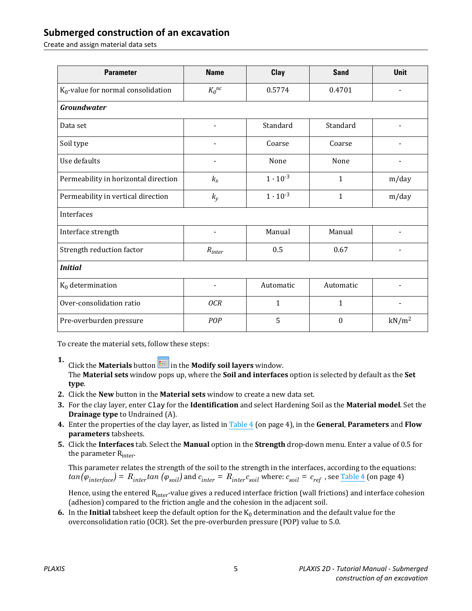Create and assign material data sets

| <b>Parameter</b>                      | <b>Name</b>    | Clay              | <b>Sand</b>      | <b>Unit</b>       |
|---------------------------------------|----------------|-------------------|------------------|-------------------|
| $K_0$ -value for normal consolidation | $K_0^{nc}$     | 0.5774            | 0.4701           |                   |
| <b>Groundwater</b>                    |                |                   |                  |                   |
| Data set                              |                | Standard          | Standard         |                   |
| Soil type                             | $\blacksquare$ | Coarse            | Coarse           | $\overline{a}$    |
| Use defaults                          |                | None              | None             |                   |
| Permeability in horizontal direction  | $k_{x}$        | $1 \cdot 10^{-3}$ | $\mathbf{1}$     | m/day             |
| Permeability in vertical direction    | $k_{y}$        | $1 \cdot 10^{-3}$ | $\mathbf{1}$     | m/day             |
| Interfaces                            |                |                   |                  |                   |
| Interface strength                    |                | Manual            | Manual           |                   |
| Strength reduction factor             | $R_{inter}$    | 0.5               | 0.67             |                   |
| <b>Initial</b>                        |                |                   |                  |                   |
| $K_0$ determination                   |                | Automatic         | Automatic        |                   |
| Over-consolidation ratio              | <b>OCR</b>     | $\mathbf{1}$      | $\mathbf{1}$     |                   |
| Pre-overburden pressure               | POP            | 5                 | $\boldsymbol{0}$ | kN/m <sup>2</sup> |

To create the material sets, follow these steps:

- **1.** Click the **Materials** button in the **Modify soil layers** window. The **Material sets** window pops up, where the **Soil and interfaces** option is selected by default as the **Set type**.
- **2.** Click the **New** button in the **Material sets** window to create a new data set.
- **3.** For the clay layer, enter Clay for the **Identification** and select Hardening Soil as the **Material model**. Set the **Drainage type** to Undrained (A).
- **4.** Enter the properties of the clay layer, as listed in [Table 4](#page-3-0) (on page 4), in the **General**, **Parameters** and **Flow parameters** tabsheets.
- **5.** Click the **Interfaces** tab. Select the **Manual** option in the **Strength** drop-down menu. Enter a value of 0.5 for the parameter R<sub>inter</sub>.

This parameter relates the strength of the soil to the strength in the interfaces, according to the equations:  $tan(\varphi_{interface})$  =  $\ R_{inter}tan\ (\varphi_{soil})$  and  $c_{inter}$  =  $\ R_{inter}c_{soil}$  where:  $c_{soil}$  =  $\ c_{ref}$  , see <u>Table 4</u> (on page 4)

Hence, using the entered R<sub>inter</sub>-value gives a reduced interface friction (wall frictions) and interface cohesion (adhesion) compared to the friction angle and the cohesion in the adjacent soil.

**6.** In the **Initial** tabsheet keep the default option for the  $K_0$  determination and the default value for the overconsolidation ratio (OCR). Set the pre-overburden pressure (POP) value to 5.0.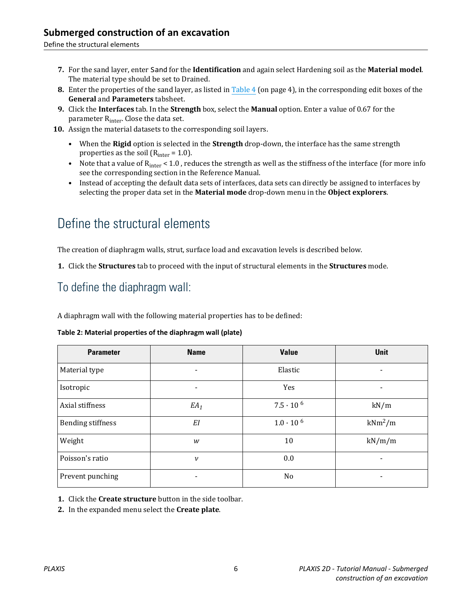<span id="page-5-0"></span>Define the structural elements

- **7.** For the sand layer, enter Sand for the **Identification** and again select Hardening soil as the **Material model**. The material type should be set to Drained.
- **8.** Enter the properties of the sand layer, as listed in [Table 4](#page-3-0) (on page 4), in the corresponding edit boxes of the **General** and **Parameters** tabsheet.
- **9.** Click the **Interfaces** tab. In the **Strength** box, select the **Manual** option. Enter a value of 0.67 for the parameter R<sub>inter</sub>. Close the data set.
- **10.** Assign the material datasets to the corresponding soil layers.
	- When the **Rigid** option is selected in the **Strength** drop-down, the interface has the same strength properties as the soil ( $R<sub>inter</sub> = 1.0$ ).
	- Note that a value of  $R_{inter} < 1.0$ , reduces the strength as well as the stiffness of the interface (for more info see the corresponding section in the Reference Manual.
	- Instead of accepting the default data sets of interfaces, data sets can directly be assigned to interfaces by selecting the proper data set in the **Material mode** drop-down menu in the **Object explorers**.

# Define the structural elements

The creation of diaphragm walls, strut, surface load and excavation levels is described below.

**1.** Click the **Structures** tab to proceed with the input of structural elements in the **Structures** mode.

# To define the diaphragm wall:

A diaphragm wall with the following material properties has to be defined:

**Table 2: Material properties of the diaphragm wall (plate)**

| <b>Parameter</b>         | <b>Name</b>              | <b>Value</b>       | <b>Unit</b> |
|--------------------------|--------------------------|--------------------|-------------|
| Material type            | $\blacksquare$           | Elastic            | -           |
| Isotropic                | $\overline{\phantom{0}}$ | Yes                | -           |
| Axial stiffness          | $EA_1$                   | $7.5 \cdot 10^{6}$ | kN/m        |
| <b>Bending stiffness</b> | EI                       | $1.0 \cdot 10^{6}$ | $kNm^2/m$   |
| Weight                   | w                        | 10                 | kN/m/m      |
| Poisson's ratio          | $\mathcal V$             | 0.0                | -           |
| Prevent punching         |                          | No                 |             |

**1.** Click the **Create structure** button in the side toolbar.

**2.** In the expanded menu select the **Create plate**.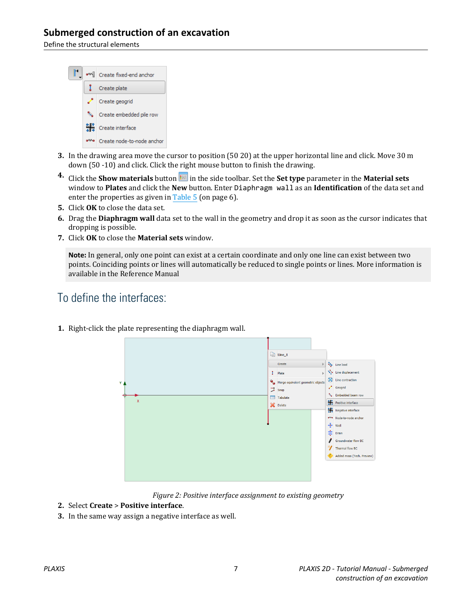Define the structural elements



- **3.** In the drawing area move the cursor to position (50 20) at the upper horizontal line and click. Move 30 m down (50 -10) and click. Click the right mouse button to finish the drawing.
- **4.** Click the **Show materials** button in the side toolbar. Set the **Set type** parameter in the **Material sets** window to **Plates** and click the **New** button. Enter Diaphragm wall as an **Identification** of the data set and enter the properties as given in [Table 5](#page-5-0) (on page 6).
- **5.** Click **OK** to close the data set.
- **6.** Drag the **Diaphragm wall** data set to the wall in the geometry and drop it as soon as the cursor indicates that dropping is possible.
- **7.** Click **OK** to close the **Material sets** window.

**Note:** In general, only one point can exist at a certain coordinate and only one line can exist between two points. Coinciding points or lines will automatically be reduced to single points or lines. More information is available in the Reference Manual

### To define the interfaces:



**1.** Right-click the plate representing the diaphragm wall.

- *Figure 2: Positive interface assignment to existing geometry*
- **2.** Select **Create** > **Positive interface**.
- **3.** In the same way assign a negative interface as well.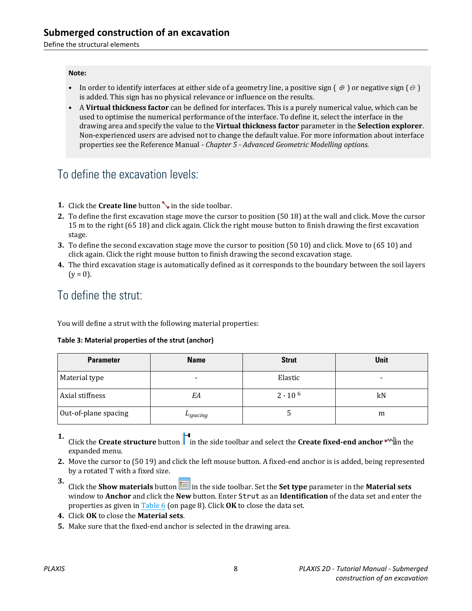Define the structural elements

#### **Note:**

- In order to identify interfaces at either side of a geometry line, a positive sign  $(\theta)$  or negative sign  $(\theta)$ is added. This sign has no physical relevance or influence on the results.
- A **Virtual thickness factor** can be defined for interfaces. This is a purely numerical value, which can be used to optimise the numerical performance of the interface. To define it, select the interface in the drawing area and specify the value to the **Virtual thickness factor** parameter in the **Selection explorer**. Non-experienced users are advised not to change the default value. For more information about interface properties see the Reference Manual *- Chapter 5 - Advanced Geometric Modelling options.*

### To define the excavation levels:

- **1.** Click the **Create line** button in the side toolbar.
- **2.** To define the first excavation stage move the cursor to position (50 18) at the wall and click. Move the cursor 15 m to the right (65 18) and click again. Click the right mouse button to finish drawing the first excavation stage.
- **3.** To define the second excavation stage move the cursor to position (50 10) and click. Move to (65 10) and click again. Click the right mouse button to finish drawing the second excavation stage.
- **4.** The third excavation stage is automatically defined as it corresponds to the boundary between the soil layers  $(y = 0)$ .

### To define the strut:

You will define a strut with the following material properties:

#### **Table 3: Material properties of the strut (anchor)**

| <b>Parameter</b>     | <b>Name</b>   | <b>Strut</b>     | <b>Unit</b> |
|----------------------|---------------|------------------|-------------|
| Material type        |               | Elastic          | $\,$        |
| Axial stiffness      | EΑ            | $2 \cdot 10^{6}$ | kN          |
| Out-of-plane spacing | $L_{spacing}$ |                  | m           |

- **1. Click the Create structure** button in the side toolbar and select the **Create fixed-end anchor**  $\blacksquare$  in the expanded menu.
- **2.** Move the cursor to (50 19) and click the left mouse button. A fixed-end anchor is is added, being represented by a rotated T with a fixed size.
- **3.** Click the **Show materials** button **in the side toolbar. Set the Set type** parameter in the **Material sets** window to **Anchor** and click the **New** button. Enter Strut as an **Identification** of the data set and enter the properties as given in Table 6 (on page 8). Click **OK** to close the data set.
- **4.** Click **OK** to close the **Material sets**.
- **5.** Make sure that the fixed-end anchor is selected in the drawing area.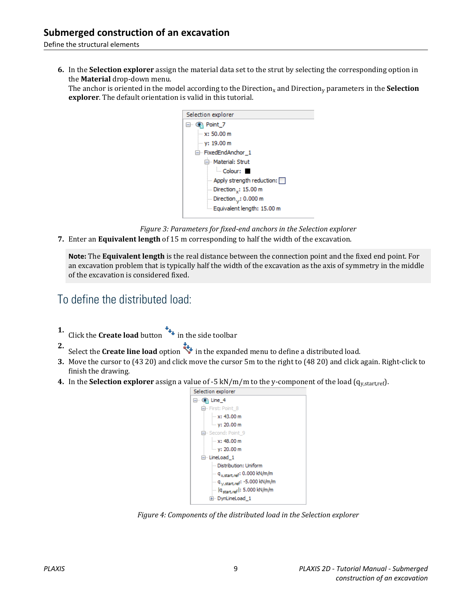Define the structural elements

**6.** In the **Selection explorer** assign the material data set to the strut by selecting the corresponding option in the **Material** drop-down menu.

The anchor is oriented in the model according to the Direction<sub>x</sub> and Direction<sub>y</sub> parameters in the **Selection explorer**. The default orientation is valid in this tutorial.



*Figure 3: Parameters for fixed-end anchors in the Selection explorer*

**7.** Enter an **Equivalent length** of 15 m corresponding to half the width of the excavation.

**Note:** The **Equivalent length** is the real distance between the connection point and the fixed end point. For an excavation problem that is typically half the width of the excavation as the axis of symmetry in the middle of the excavation is considered fixed.

# To define the distributed load:

- **1.** Click the **Create load** button  $\overrightarrow{A}$  in the side toolbar
- **2.** Select the **Create line load** option in the expanded menu to define a distributed load.
- **3.** Move the cursor to (43 20) and click move the cursor 5m to the right to (48 20) and click again. Right-click to finish the drawing.
- **4.** In the **Selection explorer** assign a value of -5 kN/m/m to the y-component of the load (q<sub>v,start,ref</sub>).



*Figure 4: Components of the distributed load in the Selection explorer*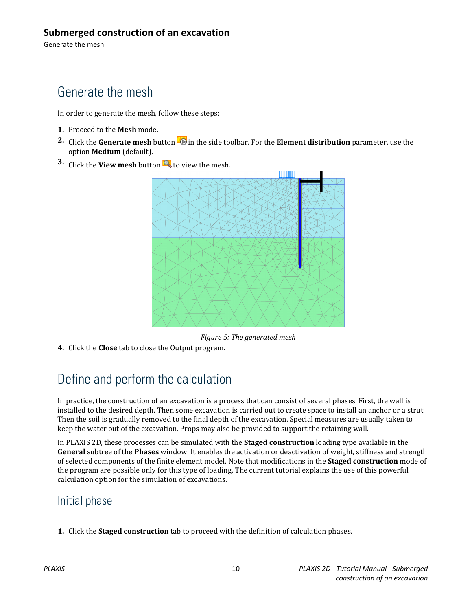# Generate the mesh

In order to generate the mesh, follow these steps:

- **1.** Proceed to the **Mesh** mode.
- **2.** Click the **Generate mesh** button **in** in the side toolbar. For the **Element distribution** parameter, use the option **Medium** (default).
- **3.** Click the **View mesh** button **th** to view the mesh.



*Figure 5: The generated mesh*

**4.** Click the **Close** tab to close the Output program.

# Define and perform the calculation

In practice, the construction of an excavation is a process that can consist of several phases. First, the wall is installed to the desired depth. Then some excavation is carried out to create space to install an anchor or a strut. Then the soil is gradually removed to the final depth of the excavation. Special measures are usually taken to keep the water out of the excavation. Props may also be provided to support the retaining wall.

In PLAXIS 2D, these processes can be simulated with the **Staged construction** loading type available in the **General** subtree of the **Phases** window. It enables the activation or deactivation of weight, stiffness and strength of selected components of the finite element model. Note that modifications in the **Staged construction** mode of the program are possible only for this type of loading. The current tutorial explains the use of this powerful calculation option for the simulation of excavations.

### Initial phase

**1.** Click the **Staged construction** tab to proceed with the definition of calculation phases.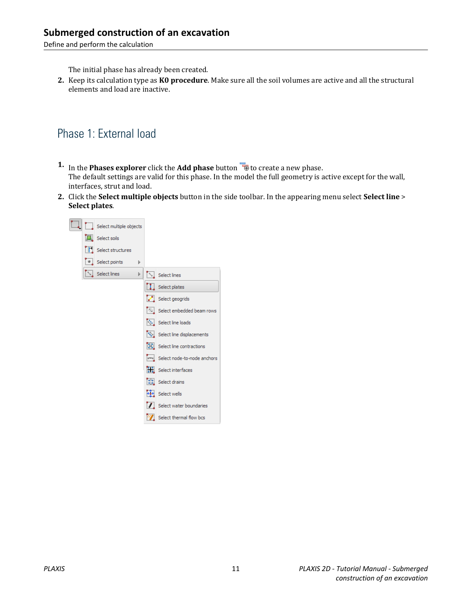Define and perform the calculation

The initial phase has already been created.

**2.** Keep its calculation type as **K0 procedure**. Make sure all the soil volumes are active and all the structural elements and load are inactive.

# Phase 1: External load

- **1.** In the **Phases explorer** click the **Add phase** button **the creater a new phase.** The default settings are valid for this phase. In the model the full geometry is active except for the wall, interfaces, strut and load.
- **2.** Click the **Select multiple objects** button in the side toolbar. In the appearing menu select **Select line** > **Select plates**.

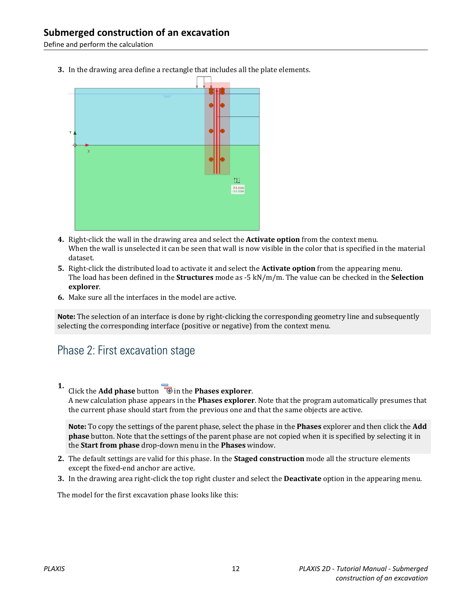Define and perform the calculation

**3.** In the drawing area define a rectangle that includes all the plate elements.



- **4.** Right-click the wall in the drawing area and select the **Activate option** from the context menu. When the wall is unselected it can be seen that wall is now visible in the color that is specified in the material dataset.
- **5.** Right-click the distributed load to activate it and select the **Activate option** from the appearing menu. The load has been defined in the **Structures** mode as -5 kN/m/m. The value can be checked in the **Selection explorer**.
- **6.** Make sure all the interfaces in the model are active.

**Note:** The selection of an interface is done by right-clicking the corresponding geometry line and subsequently selecting the corresponding interface (positive or negative) from the context menu.

### Phase 2: First excavation stage

**1.** Click the **Add phase** button **in** the **Phases explorer**.

A new calculation phase appears in the **Phases explorer**. Note that the program automatically presumes that the current phase should start from the previous one and that the same objects are active.

**Note:** To copy the settings of the parent phase, select the phase in the **Phases** explorer and then click the **Add phase** button. Note that the settings of the parent phase are not copied when it is specified by selecting it in the **Start from phase** drop-down menu in the **Phases** window.

- **2.** The default settings are valid for this phase. In the **Staged construction** mode all the structure elements except the fixed-end anchor are active.
- **3.** In the drawing area right-click the top right cluster and select the **Deactivate** option in the appearing menu.

The model for the first excavation phase looks like this: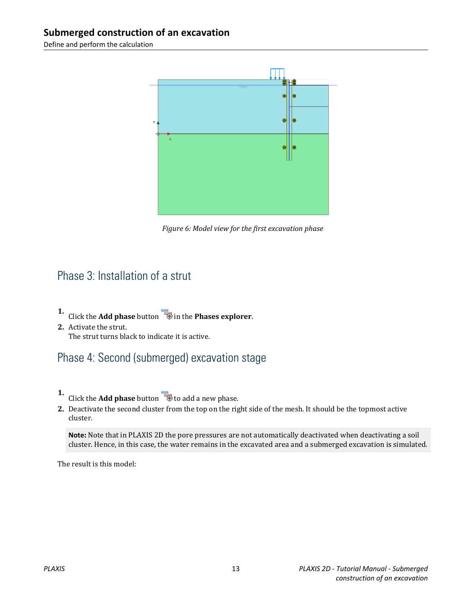Define and perform the calculation



*Figure 6: Model view for the first excavation phase*

## Phase 3: Installation of a strut

- **1.** Click the **Add phase** button **in** in the **Phases explorer**.
- **2.** Activate the strut. The strut turns black to indicate it is active.

### Phase 4: Second (submerged) excavation stage

- **1.** Click the **Add phase** button **the add a** new phase.
- **2.** Deactivate the second cluster from the top on the right side of the mesh. It should be the topmost active cluster.

**Note:** Note that in PLAXIS 2D the pore pressures are not automatically deactivated when deactivating a soil cluster. Hence, in this case, the water remains in the excavated area and a submerged excavation is simulated.

The result is this model: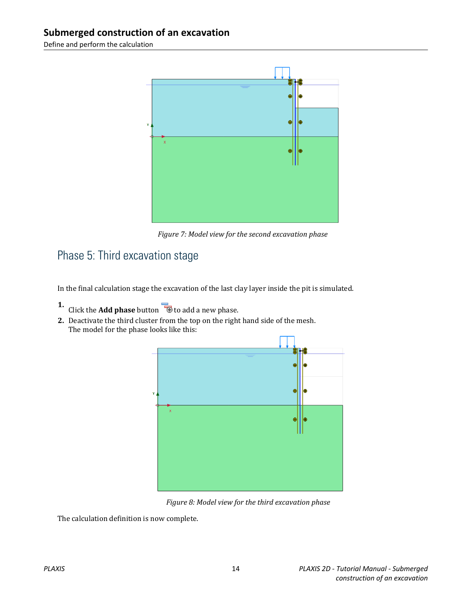Define and perform the calculation



*Figure 7: Model view for the second excavation phase*

## Phase 5: Third excavation stage

In the final calculation stage the excavation of the last clay layer inside the pit is simulated.

- **1.** Click the **Add phase** button **the add a** new phase.
- **2.** Deactivate the third cluster from the top on the right hand side of the mesh. The model for the phase looks like this:



*Figure 8: Model view for the third excavation phase*

The calculation definition is now complete.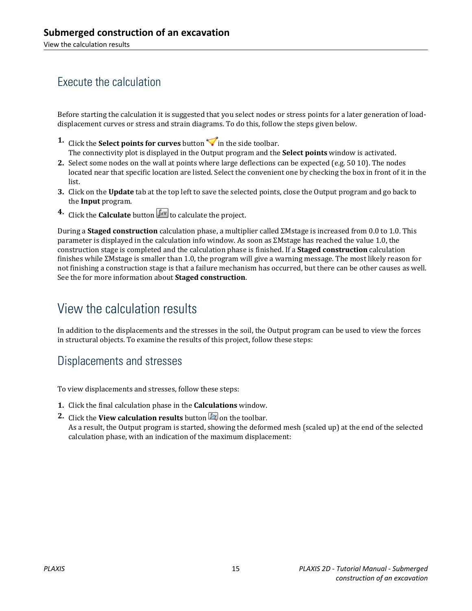# Execute the calculation

Before starting the calculation it is suggested that you select nodes or stress points for a later generation of loaddisplacement curves or stress and strain diagrams. To do this, follow the steps given below.

- **1.** Click the **Select points for curves** button  $\triangledown$  in the side toolbar. The connectivity plot is displayed in the Output program and the **Select points** window is activated.
- **2.** Select some nodes on the wall at points where large deflections can be expected (e.g. 50 10). The nodes located near that specific location are listed. Select the convenient one by checking the box in front of it in the list.
- **3.** Click on the **Update** tab at the top left to save the selected points, close the Output program and go back to the **Input** program.
- **4.** Click the **Calculate** button  $\begin{bmatrix} \mathbf{f} \cdot \mathbf{v} \end{bmatrix}$  to calculate the project.

During a **Staged construction** calculation phase, a multiplier called ΣMstage is increased from 0.0 to 1.0. This parameter is displayed in the calculation info window. As soon as ΣMstage has reached the value 1.0, the construction stage is completed and the calculation phase is finished. If a **Staged construction** calculation finishes while ΣMstage is smaller than 1.0, the program will give a warning message. The most likely reason for not finishing a construction stage is that a failure mechanism has occurred, but there can be other causes as well. See the for more information about **Staged construction**.

# View the calculation results

In addition to the displacements and the stresses in the soil, the Output program can be used to view the forces in structural objects. To examine the results of this project, follow these steps:

### Displacements and stresses

To view displacements and stresses, follow these steps:

- **1.** Click the final calculation phase in the **Calculations** window.
- **2.** Click the **View calculation results** button  $\mathbb{E}$  on the toolbar. As a result, the Output program is started, showing the deformed mesh (scaled up) at the end of the selected calculation phase, with an indication of the maximum displacement: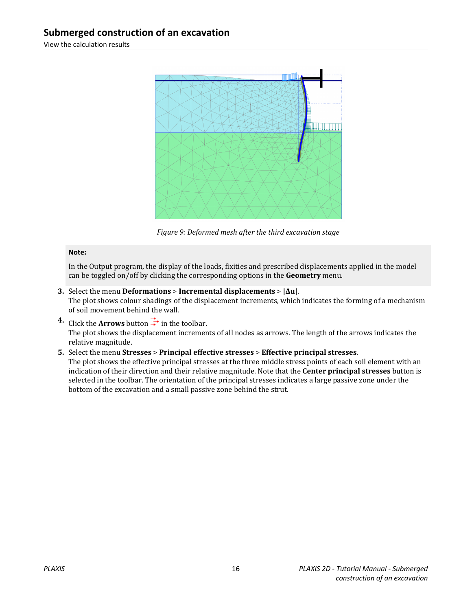View the calculation results



*Figure 9: Deformed mesh after the third excavation stage*

#### **Note:**

In the Output program, the display of the loads, fixities and prescribed displacements applied in the model can be toggled on/off by clicking the corresponding options in the **Geometry** menu.

- **3.** Select the menu **Deformations** > **Incremental displacements** > **|Δu|**. The plot shows colour shadings of the displacement increments, which indicates the forming of a mechanism of soil movement behind the wall.
- **4.** Click the **Arrows** button  $\overrightarrow{+}$  in the toolbar. The plot shows the displacement increments of all nodes as arrows. The length of the arrows indicates the relative magnitude.
- **5.** Select the menu **Stresses** > **Principal effective stresses** > **Effective principal stresses**. The plot shows the effective principal stresses at the three middle stress points of each soil element with an indication of their direction and their relative magnitude. Note that the **Center principal stresses** button is selected in the toolbar. The orientation of the principal stresses indicates a large passive zone under the bottom of the excavation and a small passive zone behind the strut.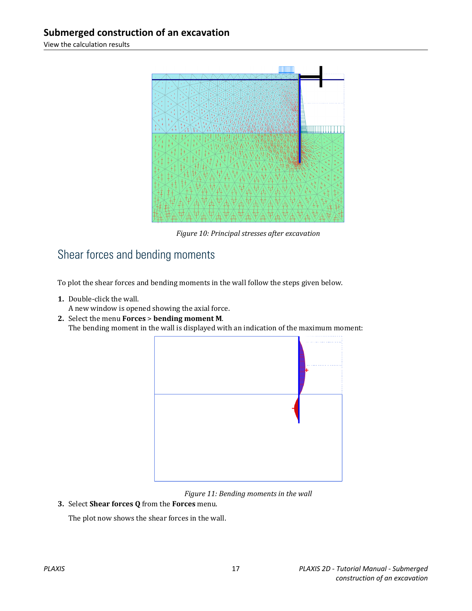View the calculation results



*Figure 10: Principal stresses after excavation*

# Shear forces and bending moments

To plot the shear forces and bending moments in the wall follow the steps given below.

**1.** Double-click the wall.

A new window is opened showing the axial force.

**2.** Select the menu **Forces** > **bending moment M**. The bending moment in the wall is displayed with an indication of the maximum moment:



*Figure 11: Bending moments in the wall*

**3.** Select **Shear forces Q** from the **Forces** menu.

The plot now shows the shear forces in the wall.